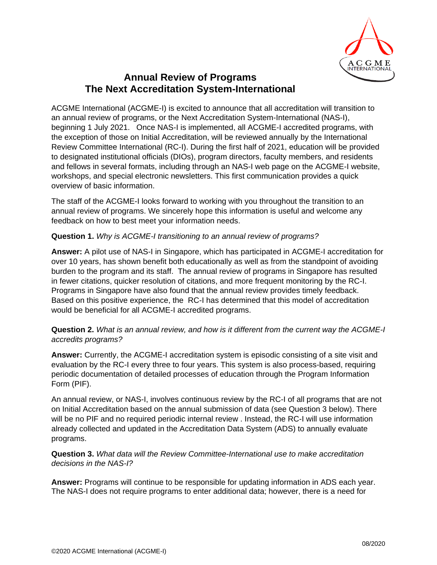

# **Annual Review of Programs The Next Accreditation System-International**

ACGME International (ACGME-I) is excited to announce that all accreditation will transition to an annual review of programs, or the Next Accreditation System-International (NAS-I), beginning 1 July 2021. Once NAS-I is implemented, all ACGME-I accredited programs, with the exception of those on Initial Accreditation, will be reviewed annually by the International Review Committee International (RC-I). During the first half of 2021, education will be provided to designated institutional officials (DIOs), program directors, faculty members, and residents and fellows in several formats, including through an NAS-I web page on the ACGME-I website, workshops, and special electronic newsletters. This first communication provides a quick overview of basic information.

The staff of the ACGME-I looks forward to working with you throughout the transition to an annual review of programs. We sincerely hope this information is useful and welcome any feedback on how to best meet your information needs.

## **Question 1.** *Why is ACGME-I transitioning to an annual review of programs?*

**Answer:** A pilot use of NAS-I in Singapore, which has participated in ACGME-I accreditation for over 10 years, has shown benefit both educationally as well as from the standpoint of avoiding burden to the program and its staff. The annual review of programs in Singapore has resulted in fewer citations, quicker resolution of citations, and more frequent monitoring by the RC-I. Programs in Singapore have also found that the annual review provides timely feedback. Based on this positive experience, the RC-I has determined that this model of accreditation would be beneficial for all ACGME-I accredited programs.

**Question 2.** *What is an annual review, and how is it different from the current way the ACGME-I accredits programs?*

**Answer:** Currently, the ACGME-I accreditation system is episodic consisting of a site visit and evaluation by the RC-I every three to four years. This system is also process-based, requiring periodic documentation of detailed processes of education through the Program Information Form (PIF).

An annual review, or NAS-I, involves continuous review by the RC-I of all programs that are not on Initial Accreditation based on the annual submission of data (see Question 3 below). There will be no PIF and no required periodic internal review . Instead, the RC-I will use information already collected and updated in the Accreditation Data System (ADS) to annually evaluate programs.

### **Question 3.** *What data will the Review Committee-International use to make accreditation decisions in the NAS-I?*

**Answer:** Programs will continue to be responsible for updating information in ADS each year. The NAS-I does not require programs to enter additional data; however, there is a need for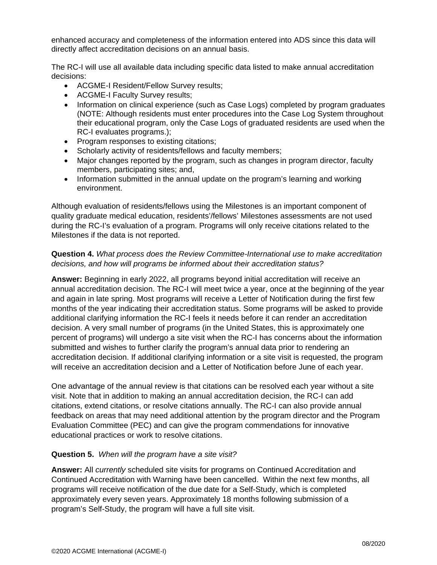enhanced accuracy and completeness of the information entered into ADS since this data will directly affect accreditation decisions on an annual basis.

The RC-I will use all available data including specific data listed to make annual accreditation decisions:

- ACGME-I Resident/Fellow Survey results;
- ACGME-I Faculty Survey results;
- Information on clinical experience (such as Case Logs) completed by program graduates (NOTE: Although residents must enter procedures into the Case Log System throughout their educational program, only the Case Logs of graduated residents are used when the RC-I evaluates programs.);
- Program responses to existing citations;
- Scholarly activity of residents/fellows and faculty members;
- Major changes reported by the program, such as changes in program director, faculty members, participating sites; and,
- Information submitted in the annual update on the program's learning and working environment.

Although evaluation of residents/fellows using the Milestones is an important component of quality graduate medical education, residents'/fellows' Milestones assessments are not used during the RC-I's evaluation of a program. Programs will only receive citations related to the Milestones if the data is not reported.

#### **Question 4.** *What process does the Review Committee-International use to make accreditation decisions, and how will programs be informed about their accreditation status?*

**Answer:** Beginning in early 2022, all programs beyond initial accreditation will receive an annual accreditation decision. The RC-I will meet twice a year, once at the beginning of the year and again in late spring. Most programs will receive a Letter of Notification during the first few months of the year indicating their accreditation status. Some programs will be asked to provide additional clarifying information the RC-I feels it needs before it can render an accreditation decision. A very small number of programs (in the United States, this is approximately one percent of programs) will undergo a site visit when the RC-I has concerns about the information submitted and wishes to further clarify the program's annual data prior to rendering an accreditation decision. If additional clarifying information or a site visit is requested, the program will receive an accreditation decision and a Letter of Notification before June of each year.

One advantage of the annual review is that citations can be resolved each year without a site visit. Note that in addition to making an annual accreditation decision, the RC-I can add citations, extend citations, or resolve citations annually. The RC-I can also provide annual feedback on areas that may need additional attention by the program director and the Program Evaluation Committee (PEC) and can give the program commendations for innovative educational practices or work to resolve citations.

#### **Question 5.** *When will the program have a site visit?*

**Answer:** All *currently* scheduled site visits for programs on Continued Accreditation and Continued Accreditation with Warning have been cancelled. Within the next few months, all programs will receive notification of the due date for a Self-Study, which is completed approximately every seven years. Approximately 18 months following submission of a program's Self-Study, the program will have a full site visit.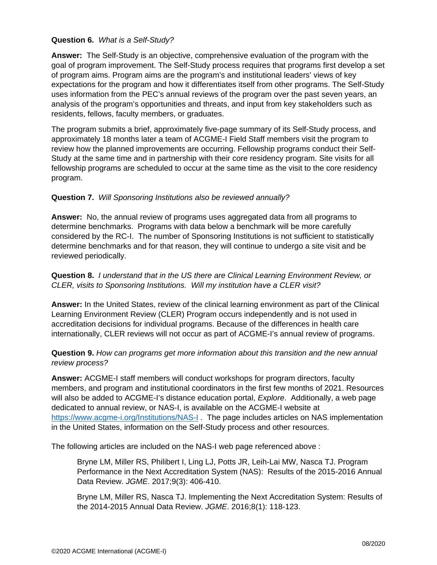#### **Question 6.** *What is a Self-Study?*

**Answer:** The Self-Study is an objective, comprehensive evaluation of the program with the goal of program improvement. The Self-Study process requires that programs first develop a set of program aims. Program aims are the program's and institutional leaders' views of key expectations for the program and how it differentiates itself from other programs. The Self-Study uses information from the PEC's annual reviews of the program over the past seven years, an analysis of the program's opportunities and threats, and input from key stakeholders such as residents, fellows, faculty members, or graduates.

The program submits a brief, approximately five-page summary of its Self-Study process, and approximately 18 months later a team of ACGME-I Field Staff members visit the program to review how the planned improvements are occurring. Fellowship programs conduct their Self-Study at the same time and in partnership with their core residency program. Site visits for all fellowship programs are scheduled to occur at the same time as the visit to the core residency program.

#### **Question 7.** *Will Sponsoring Institutions also be reviewed annually?*

**Answer:** No, the annual review of programs uses aggregated data from all programs to determine benchmarks. Programs with data below a benchmark will be more carefully considered by the RC-I. The number of Sponsoring Institutions is not sufficient to statistically determine benchmarks and for that reason, they will continue to undergo a site visit and be reviewed periodically.

#### **Question 8.** *I understand that in the US there are Clinical Learning Environment Review, or CLER, visits to Sponsoring Institutions. Will my institution have a CLER visit?*

**Answer:** In the United States, review of the clinical learning environment as part of the Clinical Learning Environment Review (CLER) Program occurs independently and is not used in accreditation decisions for individual programs. Because of the differences in health care internationally, CLER reviews will not occur as part of ACGME-I's annual review of programs.

#### **Question 9.** *How can programs get more information about this transition and the new annual review process?*

**Answer:** ACGME-I staff members will conduct workshops for program directors, faculty members, and program and institutional coordinators in the first few months of 2021. Resources will also be added to ACGME-I's distance education portal, *Explore*. Additionally, a web page dedicated to annual review, or NAS-I, is available on the ACGME-I website at <https://www.acgme-i.org/Institutions/NAS-I> . The page includes articles on NAS implementation in the United States, information on the Self-Study process and other resources.

The following articles are included on the NAS-I web page referenced above :

Bryne LM, Miller RS, Philibert I, Ling LJ, Potts JR, Leih-Lai MW, Nasca TJ. Program Performance in the Next Accreditation System (NAS): Results of the 2015-2016 Annual Data Review. *JGME*. 2017;9(3): 406-410.

Bryne LM, Miller RS, Nasca TJ. Implementing the Next Accreditation System: Results of the 2014-2015 Annual Data Review. *JGME*. 2016;8(1): 118-123.